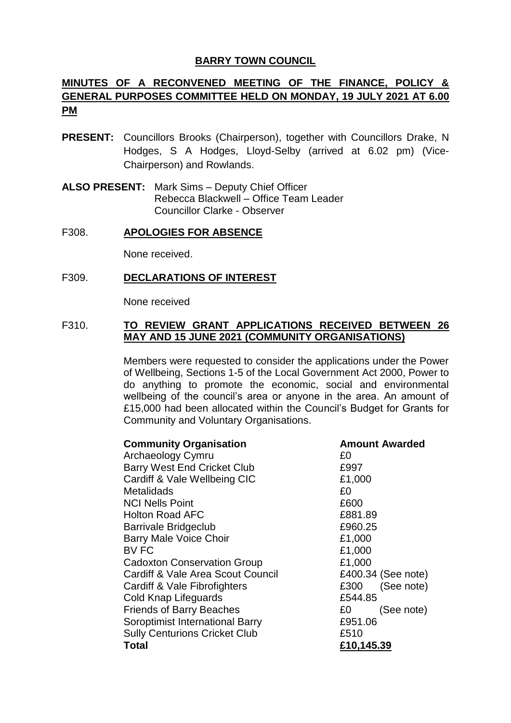## **BARRY TOWN COUNCIL**

# **MINUTES OF A RECONVENED MEETING OF THE FINANCE, POLICY & GENERAL PURPOSES COMMITTEE HELD ON MONDAY, 19 JULY 2021 AT 6.00 PM**

- **PRESENT:** Councillors Brooks (Chairperson), together with Councillors Drake, N Hodges, S A Hodges, Lloyd-Selby (arrived at 6.02 pm) (Vice-Chairperson) and Rowlands.
- **ALSO PRESENT:** Mark Sims Deputy Chief Officer Rebecca Blackwell – Office Team Leader Councillor Clarke - Observer

## F308. **APOLOGIES FOR ABSENCE**

None received.

## F309. **DECLARATIONS OF INTEREST**

None received

## F310. **TO REVIEW GRANT APPLICATIONS RECEIVED BETWEEN 26 MAY AND 15 JUNE 2021 (COMMUNITY ORGANISATIONS)**

Members were requested to consider the applications under the Power of Wellbeing, Sections 1-5 of the Local Government Act 2000, Power to do anything to promote the economic, social and environmental wellbeing of the council's area or anyone in the area. An amount of £15,000 had been allocated within the Council's Budget for Grants for Community and Voluntary Organisations.

| <b>Community Organisation</b>        |            | <b>Amount Awarded</b> |
|--------------------------------------|------------|-----------------------|
| Archaeology Cymru                    | £0         |                       |
| <b>Barry West End Cricket Club</b>   | £997       |                       |
| Cardiff & Vale Wellbeing CIC         | £1,000     |                       |
| Metalidads                           | £0         |                       |
| <b>NCI Nells Point</b>               | £600       |                       |
| <b>Holton Road AFC</b>               | £881.89    |                       |
| <b>Barrivale Bridgeclub</b>          | £960.25    |                       |
| <b>Barry Male Voice Choir</b>        | £1,000     |                       |
| BV FC                                | £1,000     |                       |
| <b>Cadoxton Conservation Group</b>   | £1,000     |                       |
| Cardiff & Vale Area Scout Council    |            | £400.34 (See note)    |
| Cardiff & Vale Fibrofighters         | £300       | (See note)            |
| Cold Knap Lifeguards                 | £544.85    |                       |
| <b>Friends of Barry Beaches</b>      | £0         | (See note)            |
| Soroptimist International Barry      | £951.06    |                       |
| <b>Sully Centurions Cricket Club</b> | £510       |                       |
| Total                                | £10,145.39 |                       |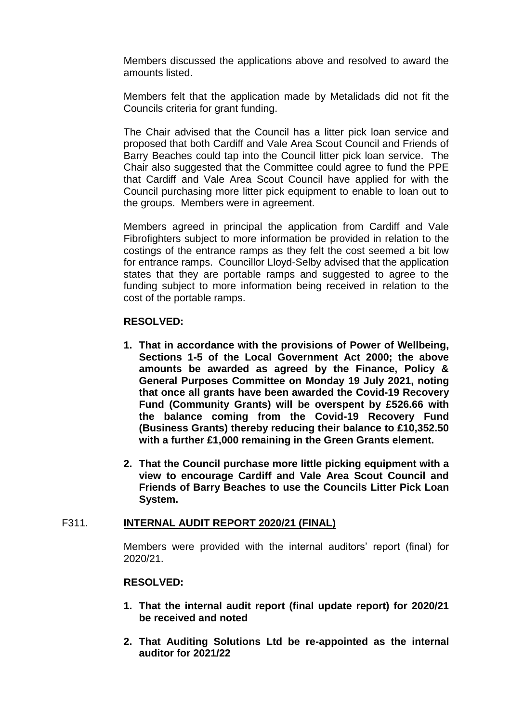Members discussed the applications above and resolved to award the amounts listed.

Members felt that the application made by Metalidads did not fit the Councils criteria for grant funding.

The Chair advised that the Council has a litter pick loan service and proposed that both Cardiff and Vale Area Scout Council and Friends of Barry Beaches could tap into the Council litter pick loan service. The Chair also suggested that the Committee could agree to fund the PPE that Cardiff and Vale Area Scout Council have applied for with the Council purchasing more litter pick equipment to enable to loan out to the groups. Members were in agreement.

Members agreed in principal the application from Cardiff and Vale Fibrofighters subject to more information be provided in relation to the costings of the entrance ramps as they felt the cost seemed a bit low for entrance ramps. Councillor Lloyd-Selby advised that the application states that they are portable ramps and suggested to agree to the funding subject to more information being received in relation to the cost of the portable ramps.

## **RESOLVED:**

- **1. That in accordance with the provisions of Power of Wellbeing, Sections 1-5 of the Local Government Act 2000; the above amounts be awarded as agreed by the Finance, Policy & General Purposes Committee on Monday 19 July 2021, noting that once all grants have been awarded the Covid-19 Recovery Fund (Community Grants) will be overspent by £526.66 with the balance coming from the Covid-19 Recovery Fund (Business Grants) thereby reducing their balance to £10,352.50 with a further £1,000 remaining in the Green Grants element.**
- **2. That the Council purchase more little picking equipment with a view to encourage Cardiff and Vale Area Scout Council and Friends of Barry Beaches to use the Councils Litter Pick Loan System.**

#### F311. **INTERNAL AUDIT REPORT 2020/21 (FINAL)**

Members were provided with the internal auditors' report (final) for 2020/21.

#### **RESOLVED:**

- **1. That the internal audit report (final update report) for 2020/21 be received and noted**
- **2. That Auditing Solutions Ltd be re-appointed as the internal auditor for 2021/22**